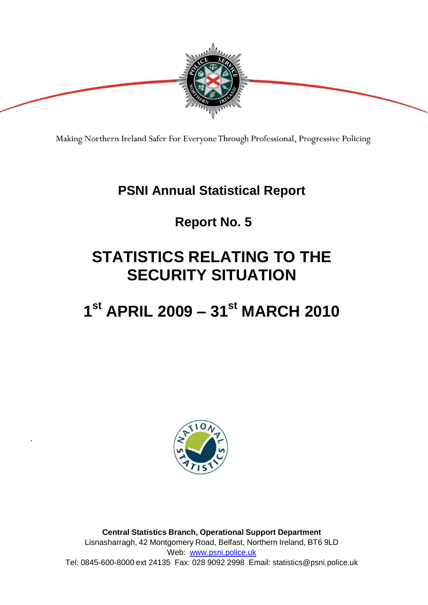

Making Northern Ireland Safer For Everyone Through Professional, Progressive Policing

### **PSNI Annual Statistical Report**

### **Report No. 5**

## **STATISTICS RELATING TO THE SECURITY SITUATION**

## **1 st APRIL 2009 – 31st MARCH 2010**



*.*

**Central Statistics Branch, Operational Support Department**  Lisnasharragh, 42 Montgomery Road, Belfast, Northern Ireland, BT6 9LD Web: [www.psni.police.uk](http://www.psni.police.uk/) Tel: 0845-600-8000 ext 24135 Fax: 028 9092 2998 Email: [statistics@psni.police.uk](mailto:statistics@psni.police.uk)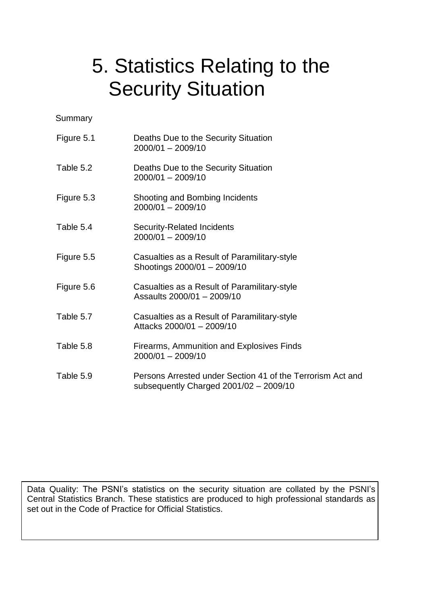# 5. Statistics Relating to the Security Situation

**Summary** 

| Figure 5.1 | Deaths Due to the Security Situation<br>2000/01 - 2009/10                                              |
|------------|--------------------------------------------------------------------------------------------------------|
| Table 5.2  | Deaths Due to the Security Situation<br>$2000/01 - 2009/10$                                            |
| Figure 5.3 | Shooting and Bombing Incidents<br>2000/01 - 2009/10                                                    |
| Table 5.4  | <b>Security-Related Incidents</b><br>2000/01 - 2009/10                                                 |
| Figure 5.5 | Casualties as a Result of Paramilitary-style<br>Shootings 2000/01 - 2009/10                            |
| Figure 5.6 | Casualties as a Result of Paramilitary-style<br>Assaults 2000/01 - 2009/10                             |
| Table 5.7  | Casualties as a Result of Paramilitary-style<br>Attacks 2000/01 - 2009/10                              |
| Table 5.8  | Firearms, Ammunition and Explosives Finds<br>2000/01 - 2009/10                                         |
| Table 5.9  | Persons Arrested under Section 41 of the Terrorism Act and<br>subsequently Charged $2001/02 - 2009/10$ |

Data Quality: The PSNI's statistics on the security situation are collated by the PSNI's Central Statistics Branch. These statistics are produced to high professional standards as set out in the Code of Practice for Official Statistics.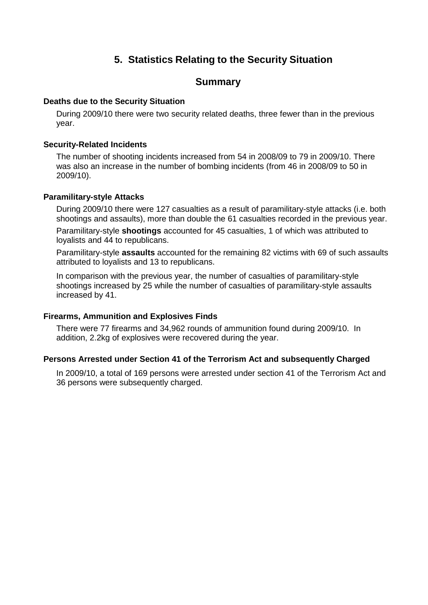#### **5. Statistics Relating to the Security Situation**

#### **Summary**

#### **Deaths due to the Security Situation**

 During 2009/10 there were two security related deaths, three fewer than in the previous year.

#### **Security-Related Incidents**

 The number of shooting incidents increased from 54 in 2008/09 to 79 in 2009/10. There was also an increase in the number of bombing incidents (from 46 in 2008/09 to 50 in 2009/10).

#### **Paramilitary-style Attacks**

 During 2009/10 there were 127 casualties as a result of paramilitary-style attacks (i.e. both shootings and assaults), more than double the 61 casualties recorded in the previous year.

 Paramilitary-style **shootings** accounted for 45 casualties, 1 of which was attributed to loyalists and 44 to republicans.

 Paramilitary-style **assaults** accounted for the remaining 82 victims with 69 of such assaults attributed to loyalists and 13 to republicans.

 In comparison with the previous year, the number of casualties of paramilitary-style shootings increased by 25 while the number of casualties of paramilitary-style assaults increased by 41.

#### **Firearms, Ammunition and Explosives Finds**

 There were 77 firearms and 34,962 rounds of ammunition found during 2009/10. In addition, 2.2kg of explosives were recovered during the year.

#### **Persons Arrested under Section 41 of the Terrorism Act and subsequently Charged**

 In 2009/10, a total of 169 persons were arrested under section 41 of the Terrorism Act and 36 persons were subsequently charged.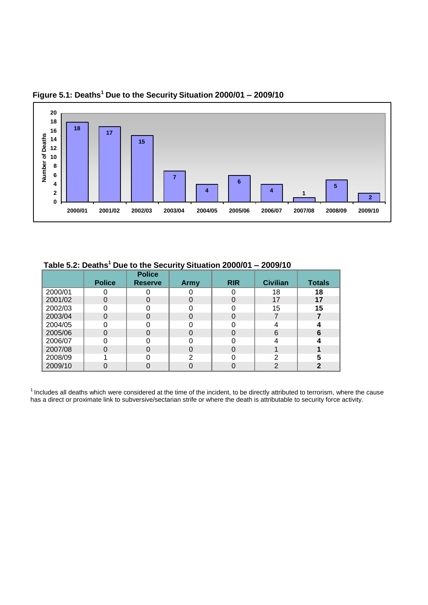

**Figure 5.1: Deaths <sup>1</sup> Due to the Security Situation 2000/01 – 2009/10**

**Table 5.2: Deaths<sup>1</sup> Due to the Security Situation 2000/01 – 2009/10**

|         | <b>Police</b> | <b>Police</b><br><b>Reserve</b> | Army | <b>RIR</b> | <b>Civilian</b> | <b>Totals</b> |
|---------|---------------|---------------------------------|------|------------|-----------------|---------------|
| 2000/01 |               |                                 |      |            | 18              | 18            |
| 2001/02 |               | 0                               |      |            | 17              | 17            |
| 2002/03 |               |                                 |      |            | 15              | 15            |
| 2003/04 |               | 0                               |      |            |                 |               |
| 2004/05 |               |                                 |      |            |                 |               |
| 2005/06 |               | 0                               |      |            | 6               | 6             |
| 2006/07 |               |                                 |      |            |                 |               |
| 2007/08 |               | 0                               |      | 0          |                 |               |
| 2008/09 |               |                                 | ⌒    |            | っ               |               |
| 2009/10 |               |                                 |      |            | າ               |               |

<sup>1</sup> Includes all deaths which were considered at the time of the incident, to be directly attributed to terrorism, where the cause has a direct or proximate link to subversive/sectarian strife or where the death is attributable to security force activity.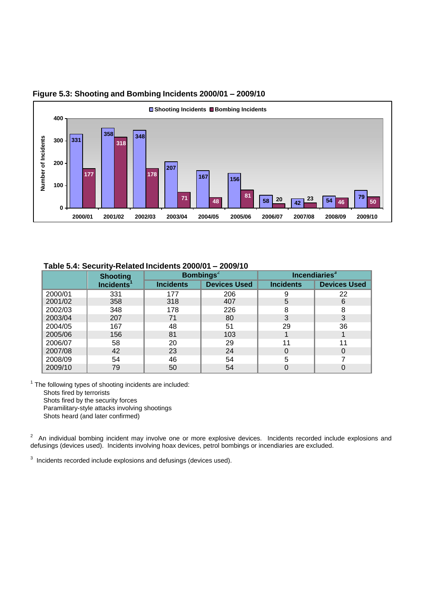

#### **Figure 5.3: Shooting and Bombing Incidents 2000/01 – 2009/10**

#### **Table 5.4: Security-Related Incidents 2000/01 – 2009/10**

|         | <b>Shooting</b>        |                  | <b>Bombings</b> <sup>2</sup> | Incendiaries <sup>3</sup> |                     |
|---------|------------------------|------------------|------------------------------|---------------------------|---------------------|
|         | Incidents <sup>1</sup> | <b>Incidents</b> | <b>Devices Used</b>          | <b>Incidents</b>          | <b>Devices Used</b> |
| 2000/01 | 331                    | 177              | 206                          |                           | 22                  |
| 2001/02 | 358                    | 318              | 407                          | 5                         | 6                   |
| 2002/03 | 348                    | 178              | 226                          | 8                         | 8                   |
| 2003/04 | 207                    | 71               | 80                           | 3                         | 3                   |
| 2004/05 | 167                    | 48               | 51                           | 29                        | 36                  |
| 2005/06 | 156                    | 81               | 103                          |                           |                     |
| 2006/07 | 58                     | 20               | 29                           | 11                        | 11                  |
| 2007/08 | 42                     | 23               | 24                           |                           | 0                   |
| 2008/09 | 54                     | 46               | 54                           | 5                         |                     |
| 2009/10 | 79                     | 50               | 54                           |                           |                     |

 $1$  The following types of shooting incidents are included: Shots fired by terrorists Shots fired by the security forces Paramilitary-style attacks involving shootings

Shots heard (and later confirmed)

<sup>2</sup> An individual bombing incident may involve one or more explosive devices. Incidents recorded include explosions and defusings (devices used). Incidents involving hoax devices, petrol bombings or incendiaries are excluded.

 $3$  Incidents recorded include explosions and defusings (devices used).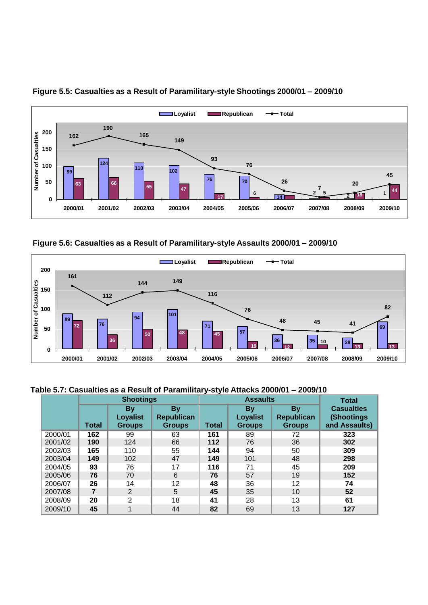

#### **Figure 5.5: Casualties as a Result of Paramilitary-style Shootings 2000/01 – 2009/10**

**Figure 5.6: Casualties as a Result of Paramilitary-style Assaults 2000/01 – 2009/10**



#### **Table 5.7: Casualties as a Result of Paramilitary-style Attacks 2000/01 – 2009/10**

|         | <b>Shootings</b> |                                               |                                                 | <b>Assaults</b> |                                        |                                          | <b>Total</b>                                      |
|---------|------------------|-----------------------------------------------|-------------------------------------------------|-----------------|----------------------------------------|------------------------------------------|---------------------------------------------------|
|         | <b>Total</b>     | <b>By</b><br><b>Loyalist</b><br><b>Groups</b> | <b>By</b><br><b>Republican</b><br><b>Groups</b> | <b>Total</b>    | By<br><b>Loyalist</b><br><b>Groups</b> | By<br><b>Republican</b><br><b>Groups</b> | <b>Casualties</b><br>(Shootings)<br>and Assaults) |
| 2000/01 | 162              | 99                                            | 63                                              | 161             | 89                                     | 72                                       | 323                                               |
| 2001/02 | 190              | 124                                           | 66                                              | 112             | 76                                     | 36                                       | 302                                               |
| 2002/03 | 165              | 110                                           | 55                                              | 144             | 94                                     | 50                                       | 309                                               |
| 2003/04 | 149              | 102                                           | 47                                              | 149             | 101                                    | 48                                       | 298                                               |
| 2004/05 | 93               | 76                                            | 17                                              | 116             | 71                                     | 45                                       | 209                                               |
| 2005/06 | 76               | 70                                            | 6                                               | 76              | 57                                     | 19                                       | 152                                               |
| 2006/07 | 26               | 14                                            | 12                                              | 48              | 36                                     | 12                                       | 74                                                |
| 2007/08 | 7                | 2                                             | 5                                               | 45              | 35                                     | 10                                       | 52                                                |
| 2008/09 | 20               | $\overline{2}$                                | 18                                              | 41              | 28                                     | 13                                       | 61                                                |
| 2009/10 | 45               |                                               | 44                                              | 82              | 69                                     | 13                                       | 127                                               |